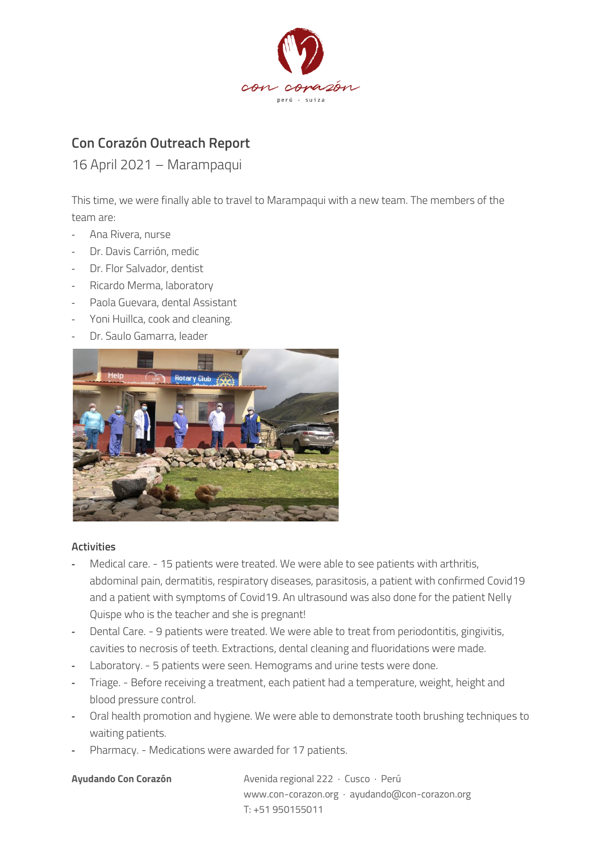

# **Con Corazón Outreach Report**

# 16 April 2021 – Marampaqui

This time, we were finally able to travel to Marampaqui with a new team. The members of the team are:

- Ana Rivera, nurse
- Dr. Davis Carrión, medic
- Dr. Flor Salvador, dentist
- Ricardo Merma, laboratory
- Paola Guevara, dental Assistant
- Yoni Huillca, cook and cleaning.
- Dr. Saulo Gamarra, leader



# **Activities**

- *-* Medical care. 15 patients were treated. We were able to see patients with arthritis, abdominal pain, dermatitis, respiratory diseases, parasitosis, a patient with confirmed Covid19 and a patient with symptoms of Covid19. An ultrasound was also done for the patient Nelly Quispe who is the teacher and she is pregnant!
- *-* Dental Care. 9 patients were treated. We were able to treat from periodontitis, gingivitis, cavities to necrosis of teeth. Extractions, dental cleaning and fluoridations were made.
- *-* Laboratory. 5 patients were seen. Hemograms and urine tests were done.
- *-* Triage. Before receiving a treatment, each patient had a temperature, weight, height and blood pressure control.
- *-* Oral health promotion and hygiene. We were able to demonstrate tooth brushing techniques to waiting patients.
- *-* Pharmacy. Medications were awarded for 17 patients.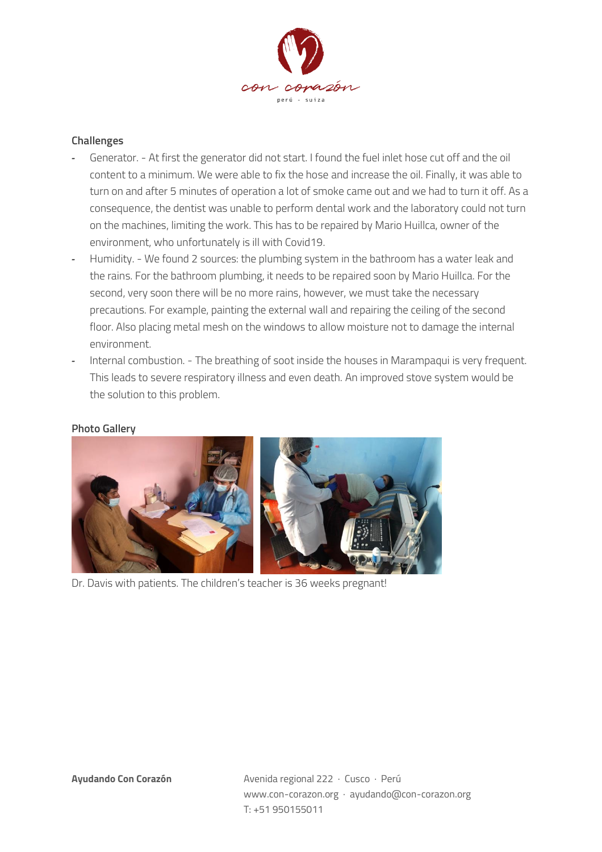

## **Challenges**

- *-* Generator. At first the generator did not start. I found the fuel inlet hose cut off and the oil content to a minimum. We were able to fix the hose and increase the oil. Finally, it was able to turn on and after 5 minutes of operation a lot of smoke came out and we had to turn it off. As a consequence, the dentist was unable to perform dental work and the laboratory could not turn on the machines, limiting the work. This has to be repaired by Mario Huillca, owner of the environment, who unfortunately is ill with Covid19.
- *-* Humidity. We found 2 sources: the plumbing system in the bathroom has a water leak and the rains. For the bathroom plumbing, it needs to be repaired soon by Mario Huillca. For the second, very soon there will be no more rains, however, we must take the necessary precautions. For example, painting the external wall and repairing the ceiling of the second floor. Also placing metal mesh on the windows to allow moisture not to damage the internal environment.
- *-* Internal combustion. The breathing of soot inside the houses in Marampaqui is very frequent. This leads to severe respiratory illness and even death. An improved stove system would be the solution to this problem.

### **Photo Gallery**



Dr. Davis with patients. The children's teacher is 36 weeks pregnant!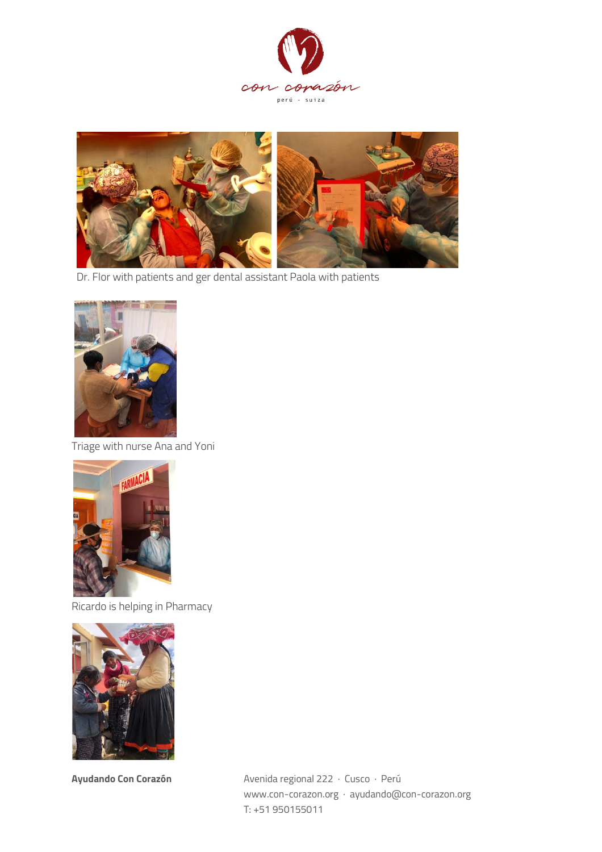



Dr. Flor with patients and ger dental assistant Paola with patients



Triage with nurse Ana and Yoni



Ricardo is helping in Pharmacy